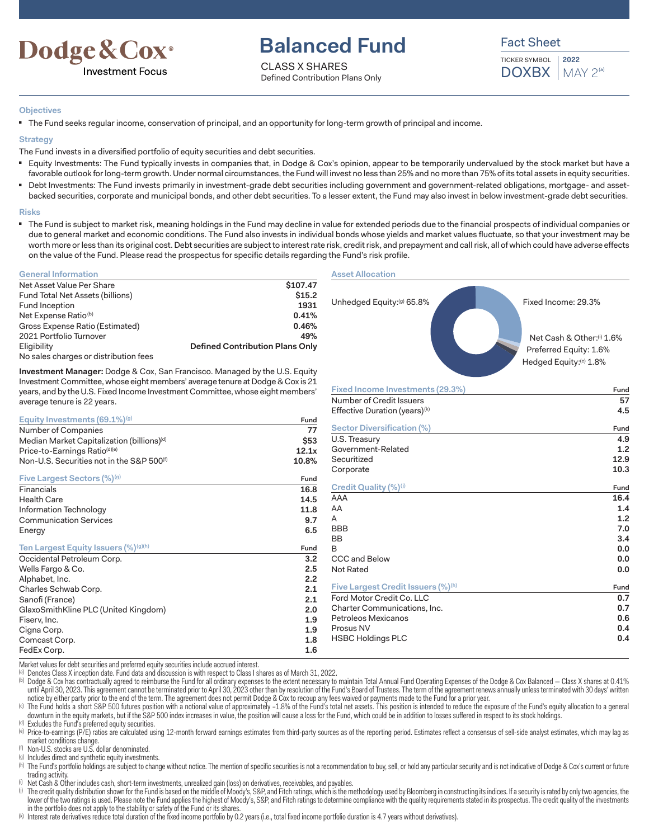

# **Balanced Fund**

CLASS X SHARES Defined Contribution Plans Only Fact Sheet

TICKER SYMBOL  $DOXBX$  | MAY  $2^{(a)}$ **2022**

### **Objectives**

■ The Fund seeks regular income, conservation of principal, and an opportunity for long-term growth of principal and income.

### **Strategy**

The Fund invests in a diversified portfolio of equity securities and debt securities.

- Equity Investments: The Fund typically invests in companies that, in Dodge & Cox's opinion, appear to be temporarily undervalued by the stock market but have a favorable outlook for long-term growth. Under normal circumstances, the Fund will invest no less than 25% and no more than 75% of its total assets in equity securities.
- Debt Investments: The Fund invests primarily in investment-grade debt securities including government and government-related obligations, mortgage- and assetbacked securities, corporate and municipal bonds, and other debt securities. To a lesser extent, the Fund may also invest in below investment-grade debt securities.

#### **Risks**

■ The Fund is subject to market risk, meaning holdings in the Fund may decline in value for extended periods due to the financial prospects of individual companies or due to general market and economic conditions. The Fund also invests in individual bonds whose yields and market values fluctuate, so that your investment may be worth more or less than its original cost. Debt securities are subject to interest rate risk, credit risk, and prepayment and call risk, all of which could have adverse effects on the value of the Fund. Please read the prospectus for specific details regarding the Fund's risk profile.

### **General Information**

| Net Asset Value Per Share             | \$107.47                               |
|---------------------------------------|----------------------------------------|
| Fund Total Net Assets (billions)      | \$15.2                                 |
| Fund Inception                        | 1931                                   |
| Net Expense Ratio <sup>(b)</sup>      | 0.41%                                  |
| Gross Expense Ratio (Estimated)       | 0.46%                                  |
| 2021 Portfolio Turnover               | 49%                                    |
| Eligibility                           | <b>Defined Contribution Plans Only</b> |
| No sales charges or distribution fees |                                        |

**Investment Manager:** Dodge & Cox, San Francisco. Managed by the U.S. Equity Investment Committee, whose eight members' average tenure at Dodge & Cox is 21 years, and by the U.S. Fixed Income Investment Committee, whose eight members' average tenure is 22 years.

| Equity Investments $(69.1\%)$ <sup>(g)</sup>          | Fund        |
|-------------------------------------------------------|-------------|
| Number of Companies                                   | 77          |
| Median Market Capitalization (billions)(d)            | <b>\$53</b> |
| Price-to-Earnings Ratio(d)(e)                         | 12.1x       |
| Non-U.S. Securities not in the S&P 500 <sup>(f)</sup> | 10.8%       |
| Five Largest Sectors (%)(g)                           | Fund        |
| Financials                                            | 16.8        |
| <b>Health Care</b>                                    | 14.5        |
| Information Technology                                | 11.8        |
| <b>Communication Services</b>                         | 9.7         |
| Energy                                                | 6.5         |
| Ten Largest Equity Issuers (%)(g)(h)                  | Fund        |
| Occidental Petroleum Corp.                            | 3.2         |
| Wells Fargo & Co.                                     | 2.5         |
| Alphabet, Inc.                                        | 2.2         |
| Charles Schwab Corp.                                  | 2.1         |
| Sanofi (France)                                       | 2.1         |
| GlaxoSmithKline PLC (United Kingdom)                  | 2.0         |
| Fiserv, Inc.                                          | 1.9         |
| Cigna Corp.                                           | 1.9         |
| Comcast Corp.                                         | 1.8         |
| FedEx Corp.                                           | 1.6         |

### **Asset Allocation**



| 9. /             | $\overline{ }$                                 | ∸∙   |
|------------------|------------------------------------------------|------|
| 6.5              | <b>BBB</b>                                     | 7.0  |
|                  | <b>BB</b>                                      | 3.4  |
| und              | В                                              | 0.0  |
| 3.2 <sub>2</sub> | CCC and Below                                  | 0.0  |
| 2.5              | Not Rated                                      | 0.0  |
| 2.2              |                                                |      |
| 2.1              | Five Largest Credit Issuers (%) <sup>(h)</sup> | Fund |
| 2.1              | Ford Motor Credit Co. LLC                      | 0.7  |
| 2.0              | Charter Communications, Inc.                   | 0.7  |
| 1.9              | Petroleos Mexicanos                            | 0.6  |
| 1.9              | Prosus NV                                      | 0.4  |
| 1.8              | <b>HSBC Holdings PLC</b>                       | 0.4  |
| 1.6              |                                                |      |
|                  |                                                |      |
|                  |                                                |      |

Market values for debt securities and preferred equity securities include accrued interest.

(a) Denotes Class X inception date. Fund data and discussion is with respect to Class I shares as of March 31, 2022.

(b) Dodge & Cox has contractually agreed to reimburse the Fund for all ordinary expenses to the extent necessary to maintain Total Annual Fund Operating Expenses of the Dodge & Cox Balanced - Class X shares at 0.41% until April 30, 2023. This agreement cannot be terminated prior to April 30, 2023 other than by resolution of the Fund's Board of Trustees. The term of the agreement renews annually unless terminated with 30 days' written notice by either party prior to the end of the term. The agreement does not permit Dodge & Cox to recoup any fees waived or payments made to the Fund for a prior year.

(c) The Fund holds a short S&P 500 futures position with a notional value of approximately -1.8% of the Fund's total net assets. This position is intended to reduce the exposure of the Fund's equity allocation to a general downturn in the equity markets, but if the S&P 500 index increases in value, the position will cause a loss for the Fund, which could be in addition to losses suffered in respect to its stock holdings.

(d) Excludes the Fund's preferred equity securities.

(e) Price-to-earnings (P/E) ratios are calculated using 12-month forward earnings estimates from third-party sources as of the reporting period. Estimates reflect a consensus of sell-side analyst estimates, which may lag a market conditions change.

(f) Non-U.S. stocks are U.S. dollar denominated.

(g) Includes direct and synthetic equity investments.

(b) The Fund's portfolio holdings are subject to change without notice. The mention of specific securities is not a recommendation to buy, sell, or hold any particular security and is not indicative of Dodge & Cox's curren trading activity.

Net Cash & Other includes cash, short-term investments, unrealized gain (loss) on derivatives, receivables, and payables.

(i) The credit quality distribution shown for the Fund is based on the middle of Moody's, S&P, and Fitch ratings, which is the methodology used by Bloomberg in constructing its indices. If a security is rated by only two a lower of the two ratings is used. Please note the Fund applies the highest of Moody's, S&P, and Fitch ratings to determine compliance with the quality requirements stated in its prospectus. The credit quality of the invest in the portfolio does not apply to the stability or safety of the Fund or its shares.

(k) Interest rate derivatives reduce total duration of the fixed income portfolio by 0.2 years (i.e., total fixed income portfolio duration is 4.7 years without derivatives).